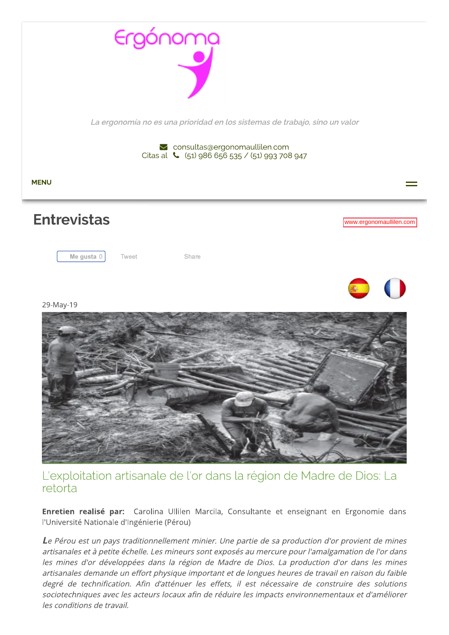

L'exploitation artisanale de l'or dans la région de Madre de Dios: La retorta

Enretien realisé par: Carolina Ullilen Marcila, Consultante et enseignant en Ergonomie dans l'Université Nationale d'Ingénierie (Pérou)

Le Pérou est un pays traditionnellement minier. Une partie de sa production d'or provient de mines artisanales et à petite échelle. Les mineurs sont exposés au mercure pour l'amalgamation de l'or dans les mines d'or développées dans la région de Madre de Dios. La production d'or dans les mines artisanales demande un effort physique important et de longues heures de travail en raison du faible degré de technification. Afin d'atténuer les effets, il est nécessaire de construire des solutions sociotechniques avec les acteurs locaux afin de réduire les impacts environnementaux et d'améliorer les conditions de travail.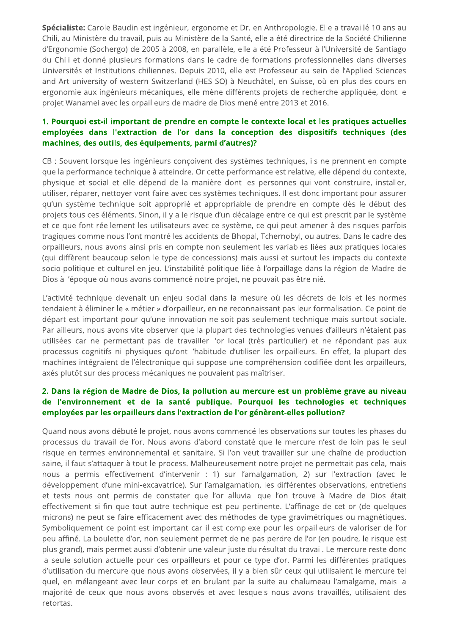Spécialiste: Carole Baudin est ingénieur, ergonome et Dr. en Anthropologie. Elle a travaillé 10 ans au Chili, au Ministère du travail, puis au Ministère de la Santé, elle a été directrice de la Société Chilienne d'Ergonomie (Sochergo) de 2005 à 2008, en parallèle, elle a été Professeur à l'Université de Santiago du Chili et donné plusieurs formations dans le cadre de formations professionnelles dans diverses Universités et Institutions chiliennes. Depuis 2010, elle est Professeur au sein de l'Applied Sciences and Art university of western Switzerland (HES SO) à Neuchâtel, en Suisse, où en plus des cours en ergonomie aux ingénieurs mécaniques, elle mène différents projets de recherche appliquée, dont le projet Wanamei avec les orpailleurs de madre de Dios mené entre 2013 et 2016.

## 1. Pourquoi est-il important de prendre en compte le contexte local et les pratiques actuelles employées dans l'extraction de l'or dans la conception des dispositifs techniques (des machines, des outils, des équipements, parmi d'autres)?

CB : Souvent lorsque les ingénieurs conçoivent des systèmes techniques, ils ne prennent en compte que la performance technique à atteindre. Or cette performance est relative, elle dépend du contexte, physique et social et elle dépend de la manière dont les personnes qui vont construire, installer, utiliser, réparer, nettoyer vont faire avec ces systèmes techniques. Il est donc important pour assurer qu'un système technique soit approprié et appropriable de prendre en compte dès le début des projets tous ces éléments. Sinon, il y a le risque d'un décalage entre ce qui est prescrit par le système et ce que font réellement les utilisateurs avec ce système, ce qui peut amener à des risques parfois tragiques comme nous l'ont montré les accidents de Bhopal, Tchernobyl, ou autres. Dans le cadre des orpailleurs, nous avons ainsi pris en compte non seulement les variables liées aux pratiques locales (qui diffèrent beaucoup selon le type de concessions) mais aussi et surtout les impacts du contexte socio-politique et culturel en jeu. L'instabilité politique liée à l'orpaillage dans la région de Madre de Dios à l'époque où nous avons commencé notre projet, ne pouvait pas être nié.

L'activité technique devenait un enjeu social dans la mesure où les décrets de lois et les normes tendaient à éliminer le « métier » d'orpailleur, en ne reconnaissant pas leur formalisation. Ce point de départ est important pour qu'une innovation ne soit pas seulement technique mais surtout sociale. Par ailleurs, nous avons vite observer que la plupart des technologies venues d'ailleurs n'étaient pas utilisées car ne permettant pas de travailler l'or local (très particulier) et ne répondant pas aux processus cognitifs ni physiques qu'ont l'habitude d'utiliser les orpailleurs. En effet, la plupart des machines intégraient de l'électronique qui suppose une compréhension codifiée dont les orpailleurs, axés plutôt sur des process mécaniques ne pouvaient pas maîtriser.

# 2. Dans la région de Madre de Dios, la pollution au mercure est un problème grave au niveau de l'environnement et de la santé publique. Pourquoi les technologies et techniques employées par les orpailleurs dans l'extraction de l'or génèrent-elles pollution?

Quand nous avons débuté le projet, nous avons commencé les observations sur toutes les phases du processus du travail de l'or. Nous avons d'abord constaté que le mercure n'est de loin pas le seul risque en termes environnemental et sanitaire. Si l'on veut travailler sur une chaîne de production saine, il faut s'attaquer à tout le process. Malheureusement notre projet ne permettait pas cela, mais nous a permis effectivement d'intervenir : 1) sur l'amalgamation, 2) sur l'extraction (avec le développement d'une mini-excavatrice). Sur l'amalgamation, les différentes observations, entretiens et tests nous ont permis de constater que l'or alluvial que l'on trouve à Madre de Dios était effectivement si fin que tout autre technique est peu pertinente. L'affinage de cet or (de quelques microns) ne peut se faire efficacement avec des méthodes de type gravimétriques ou magnétiques. Symboliquement ce point est important car il est complexe pour les orpailleurs de valoriser de l'or peu affiné. La boulette d'or, non seulement permet de ne pas perdre de l'or (en poudre, le risque est plus grand), mais permet aussi d'obtenir une valeur juste du résultat du travail. Le mercure reste donc la seule solution actuelle pour ces orpailleurs et pour ce type d'or. Parmi les différentes pratiques d'utilisation du mercure que nous avons observées, il y a bien sûr ceux qui utilisaient le mercure tel quel, en mélangeant avec leur corps et en brulant par la suite au chalumeau l'amalgame, mais la majorité de ceux que nous avons observés et avec lesquels nous avons travaillés, utilisaient des retortas.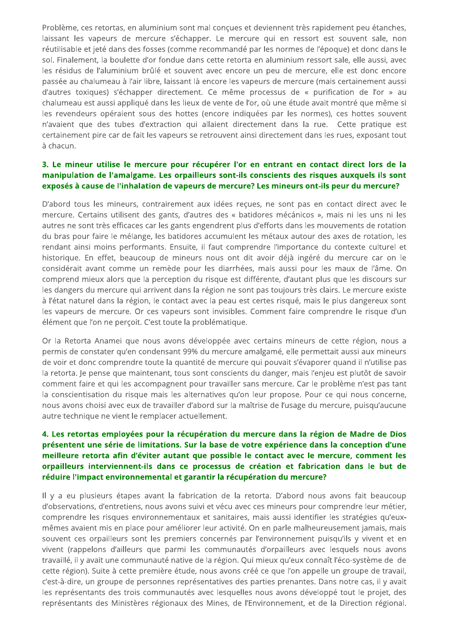Problème, ces retortas, en aluminium sont mal conçues et deviennent très rapidement peu étanches, laissant les vapeurs de mercure s'échapper. Le mercure qui en ressort est souvent sale, non réutilisable et jeté dans des fosses (comme recommandé par les normes de l'époque) et donc dans le sol. Finalement, la boulette d'or fondue dans cette retorta en aluminium ressort sale, elle aussi, avec les résidus de l'aluminium brûlé et souvent avec encore un peu de mercure, elle est donc encore passée au chalumeau à l'air libre, laissant là encore les vapeurs de mercure (mais certainement aussi d'autres toxiques) s'échapper directement. Ce même processus de « purification de l'or » au chalumeau est aussi appliqué dans les lieux de vente de l'or, où une étude avait montré que même si les revendeurs opéraient sous des hottes (encore indiquées par les normes), ces hottes souvent n'avaient que des tubes d'extraction qui allaient directement dans la rue. Cette pratique est certainement pire car de fait les vapeurs se retrouvent ainsi directement dans les rues, exposant tout à chacun.

## 3. Le mineur utilise le mercure pour récupérer l'or en entrant en contact direct lors de la manipulation de l'amalgame. Les orpailleurs sont-ils conscients des risques auxquels ils sont exposés à cause de l'inhalation de vapeurs de mercure? Les mineurs ont-ils peur du mercure?

D'abord tous les mineurs, contrairement aux idées reçues, ne sont pas en contact direct avec le mercure. Certains utilisent des gants, d'autres des « batidores mécánicos », mais ni les uns ni les autres ne sont très efficaces car les gants engendrent plus d'efforts dans les mouvements de rotation du bras pour faire le mélange, les batidores accumulent les métaux autour des axes de rotation, les rendant ainsi moins performants. Ensuite, il faut comprendre l'importance du contexte culturel et historique. En effet, beaucoup de mineurs nous ont dit avoir déjà ingéré du mercure car on le considérait avant comme un remède pour les diarrhées, mais aussi pour les maux de l'âme. On comprend mieux alors que la perception du risque est différente, d'autant plus que les discours sur les dangers du mercure qui arrivent dans la région ne sont pas toujours très clairs. Le mercure existe à l'état naturel dans la région, le contact avec la peau est certes risqué, mais le plus dangereux sont les vapeurs de mercure. Or ces vapeurs sont invisibles. Comment faire comprendre le risque d'un élément que l'on ne perçoit. C'est toute la problématique.

Or la Retorta Anamei que nous avons développée avec certains mineurs de cette région, nous a permis de constater qu'en condensant 99% du mercure amalgamé, elle permettait aussi aux mineurs de voir et donc comprendre toute la quantité de mercure qui pouvait s'évaporer quand il n'utilise pas la retorta. Je pense que maintenant, tous sont conscients du danger, mais l'enjeu est plutôt de savoir comment faire et qui les accompagnent pour travailler sans mercure. Car le problème n'est pas tant la conscientisation du risque mais les alternatives qu'on leur propose. Pour ce qui nous concerne, nous avons choisi avec eux de travailler d'abord sur la maîtrise de l'usage du mercure, puisqu'aucune autre technique ne vient le remplacer actuellement.

# 4. Les retortas employées pour la récupération du mercure dans la région de Madre de Dios présentent une série de limitations. Sur la base de votre expérience dans la conception d'une meilleure retorta afin d'éviter autant que possible le contact avec le mercure, comment les orpailleurs interviennent-ils dans ce processus de création et fabrication dans le but de réduire l'impact environnemental et garantir la récupération du mercure?

Il y a eu plusieurs étapes avant la fabrication de la retorta. D'abord nous avons fait beaucoup d'observations, d'entretiens, nous avons suivi et vécu avec ces mineurs pour comprendre leur métier, comprendre les risques environnementaux et sanitaires, mais aussi identifier les stratégies qu'euxmêmes avaient mis en place pour améliorer leur activité. On en parle malheureusement jamais, mais souvent ces orpailleurs sont les premiers concernés par l'environnement puisqu'ils y vivent et en vivent (rappelons d'ailleurs que parmi les communautés d'orpailleurs avec lesquels nous avons travaillé, il y avait une communauté native de la région. Qui mieux qu'eux connaît l'éco-système de de cette région). Suite à cette première étude, nous avons créé ce que l'on appelle un groupe de travail, c'est-à-dire, un groupe de personnes représentatives des parties prenantes. Dans notre cas, il y avait les représentants des trois communautés avec lesquelles nous avons développé tout le projet, des représentants des Ministères régionaux des Mines, de l'Environnement, et de la Direction régional.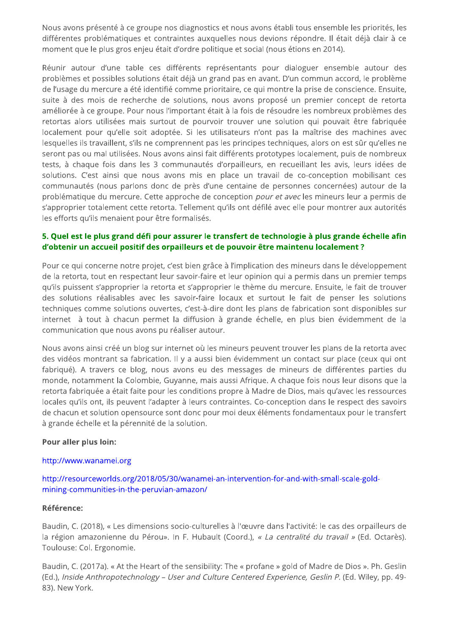Nous avons présenté à ce groupe nos diagnostics et nous avons établi tous ensemble les priorités, les différentes problématiques et contraintes auxquelles nous devions répondre. Il était déjà clair à ce moment que le plus gros enjeu était d'ordre politique et social (nous étions en 2014).

Réunir autour d'une table ces différents représentants pour dialoguer ensemble autour des problèmes et possibles solutions était déjà un grand pas en avant. D'un commun accord, le problème de l'usage du mercure a été identifié comme prioritaire, ce qui montre la prise de conscience. Ensuite, suite à des mois de recherche de solutions, nous avons proposé un premier concept de retorta améliorée à ce groupe. Pour nous l'important était à la fois de résoudre les nombreux problèmes des retortas alors utilisées mais surtout de pourvoir trouver une solution qui pouvait être fabriquée localement pour qu'elle soit adoptée. Si les utilisateurs n'ont pas la maîtrise des machines avec lesquelles ils travaillent, s'ils ne comprennent pas les principes techniques, alors on est sûr qu'elles ne seront pas ou mal utilisées. Nous avons ainsi fait différents prototypes localement, puis de nombreux tests, à chaque fois dans les 3 communautés d'orpailleurs, en recueillant les avis, leurs idées de solutions. C'est ainsi que nous avons mis en place un travail de co-conception mobilisant ces communautés (nous parlons donc de près d'une centaine de personnes concernées) autour de la problématique du mercure. Cette approche de conception pour et avec les mineurs leur a permis de s'approprier totalement cette retorta. Tellement qu'ils ont défilé avec elle pour montrer aux autorités les efforts qu'ils menaient pour être formalisés.

## 5. Quel est le plus grand défi pour assurer le transfert de technologie à plus grande échelle afin d'obtenir un accueil positif des orpailleurs et de pouvoir être maintenu localement ?

Pour ce qui concerne notre projet, c'est bien grâce à l'implication des mineurs dans le développement de la retorta, tout en respectant leur savoir-faire et leur opinion qui a permis dans un premier temps qu'ils puissent s'approprier la retorta et s'approprier le thème du mercure. Ensuite, le fait de trouver des solutions réalisables avec les savoir-faire locaux et surtout le fait de penser les solutions techniques comme solutions ouvertes, c'est-à-dire dont les plans de fabrication sont disponibles sur internet à tout à chacun permet la diffusion à grande échelle, en plus bien évidemment de la communication que nous avons pu réaliser autour.

Nous avons ainsi créé un blog sur internet où les mineurs peuvent trouver les plans de la retorta avec des vidéos montrant sa fabrication. Il y a aussi bien évidemment un contact sur place (ceux qui ont fabriqué). A travers ce blog, nous avons eu des messages de mineurs de différentes parties du monde, notamment la Colombie, Guyanne, mais aussi Afrique. A chaque fois nous leur disons que la retorta fabriquée a était faite pour les conditions propre à Madre de Dios, mais qu'avec les ressources locales qu'ils ont, ils peuvent l'adapter à leurs contraintes. Co-conception dans le respect des savoirs de chacun et solution opensource sont donc pour moi deux éléments fondamentaux pour le transfert à grande échelle et la pérennité de la solution.

#### Pour aller plus loin:

#### http://www.wanamei.org

### http://resourceworlds.org/2018/05/30/wanamei-an-intervention-for-and-with-small-scale-goldmining-communities-in-the-peruvian-amazon/

#### **Référence:**

Baudin, C. (2018), « Les dimensions socio-culturelles à l'œuvre dans l'activité: le cas des orpailleurs de la région amazonienne du Pérou». In F. Hubault (Coord.), « La centralité du travail » (Ed. Octarès). Toulouse: Col. Ergonomie.

Baudin, C. (2017a). « At the Heart of the sensibility: The « profane » gold of Madre de Dios ». Ph. Geslin (Ed.), Inside Anthropotechnology - User and Culture Centered Experience, Geslin P. (Ed. Wiley, pp. 49-83). New York.